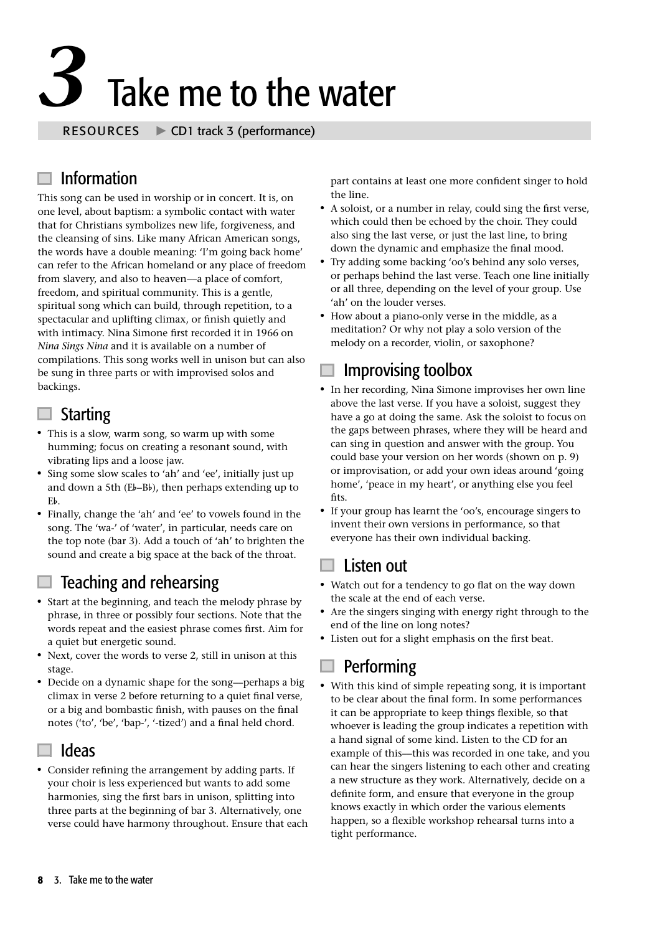# **3** Take me to the water

 $\blacktriangleright$  CD1 track 3 (performance)

## Information

This song can be used in worship or in concert. It is, on one level, about baptism: a symbolic contact with water that for Christians symbolizes new life, forgiveness, and the cleansing of sins. Like many African American songs, the words have a double meaning: 'I'm going back home' can refer to the African homeland or any place of freedom from slavery, and also to heaven––a place of comfort, freedom, and spiritual community. This is a gentle, spiritual song which can build, through repetition, to a spectacular and uplifting climax, or finish quietly and with intimacy. Nina Simone first recorded it in 1966 on *Nina Sings Nina* and it is available on a number of compilations. This song works well in unison but can also be sung in three parts or with improvised solos and backings.

#### $\Box$  Starting

- This is a slow, warm song, so warm up with some humming; focus on creating a resonant sound, with vibrating lips and a loose jaw.
- Sing some slow scales to 'ah' and 'ee', initially just up vibrating lips and a loose jaw.<br>Sing some slow scales to 'ah' and 'ee', initially just up<br>and down a 5th (Eb–Bb), then perhaps extending up to Sin<br>an<br>Eb.
- <sup>1</sup> Finally, change the 'ah' and 'ee' to vowels found in the song. The 'wa-' of 'water', in particular, needs care on the top note (bar 3). Add a touch of 'ah' to brighten the sound and create a big space at the back of the throat.

### Teaching and rehearsing

- Start at the beginning, and teach the melody phrase by phrase, in three or possibly four sections. Note that the words repeat and the easiest phrase comes first. Aim for a quiet but energetic sound.
- Next, cover the words to verse 2, still in unison at this stage.
- Decide on a dynamic shape for the song—perhaps a big climax in verse 2 before returning to a quiet final verse, or a big and bombastic finish, with pauses on the final notes ('to', 'be', 'bap-', '-tized') and a final held chord.

#### $\Box$  Ideas

• Consider refining the arrangement by adding parts. If your choir is less experienced but wants to add some harmonies, sing the first bars in unison, splitting into three parts at the beginning of bar 3. Alternatively, one verse could have harmony throughout. Ensure that each part contains at least one more confident singer to hold the line.

- <sup>1</sup> A soloist, or a number in relay, could sing the first verse, which could then be echoed by the choir. They could also sing the last verse, or just the last line, to bring down the dynamic and emphasize the final mood.
- Try adding some backing 'oo's behind any solo verses. or perhaps behind the last verse. Teach one line initially or all three, depending on the level of your group. Use 'ah' on the louder verses.
- How about a piano-only verse in the middle, as a meditation? Or why not play a solo version of the melody on a recorder, violin, or saxophone?

### Improvising toolbox

- In her recording, Nina Simone improvises her own line above the last verse. If you have a soloist, suggest they have a go at doing the same. Ask the soloist to focus on the gaps between phrases, where they will be heard and can sing in question and answer with the group. You could base your version on her words (shown on p. 9) or improvisation, or add your own ideas around 'going home', 'peace in my heart', or anything else you feel fits
- If your group has learnt the 'oo's, encourage singers to invent their own versions in performance, so that everyone has their own individual backing.

#### Listen out

- Watch out for a tendency to go flat on the way down the scale at the end of each verse.
- Are the singers singing with energy right through to the end of the line on long notes?
- Listen out for a slight emphasis on the first beat.

### Performing

<sup>1</sup> With this kind of simple repeating song, it is important to be clear about the final form. In some performances it can be appropriate to keep things flexible, so that whoever is leading the group indicates a repetition with a hand signal of some kind. Listen to the CD for an example of this––this was recorded in one take, and you can hear the singers listening to each other and creating a new structure as they work. Alternatively, decide on a definite form, and ensure that everyone in the group knows exactly in which order the various elements happen, so a flexible workshop rehearsal turns into a tight performance.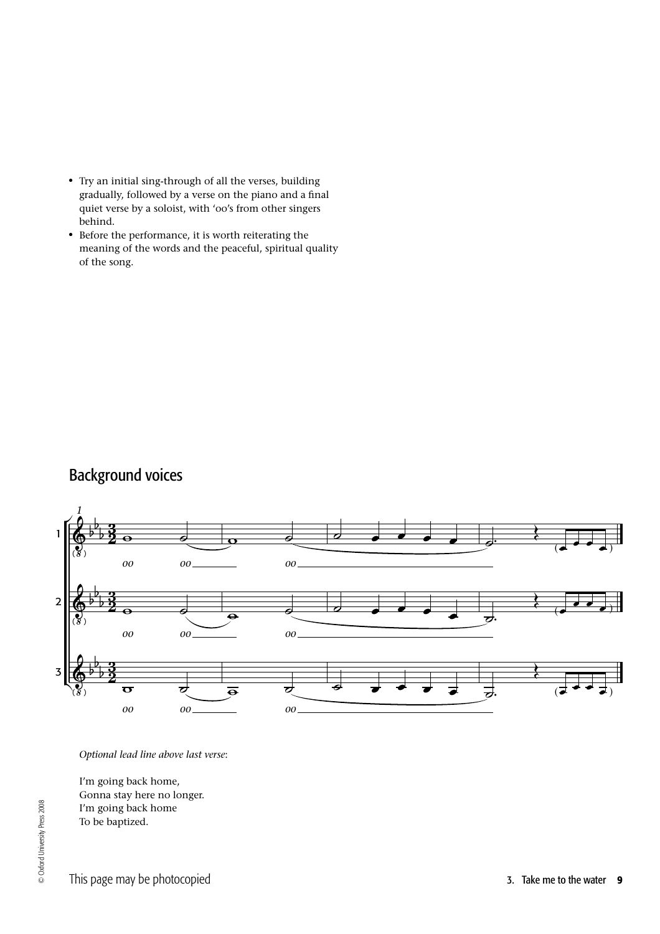- Try an initial sing-through of all the verses, building gradually, followed by a verse on the piano and a final quiet verse by a soloist, with 'oo's from other singers behind.
- Before the performance, it is worth reiterating the meaning of the words and the peaceful, spiritual quality of the song.

# Background voices



*Optional lead line above last verse*:

I'm going back home, Gonna stay here no longer. I'm going back home To be baptized.